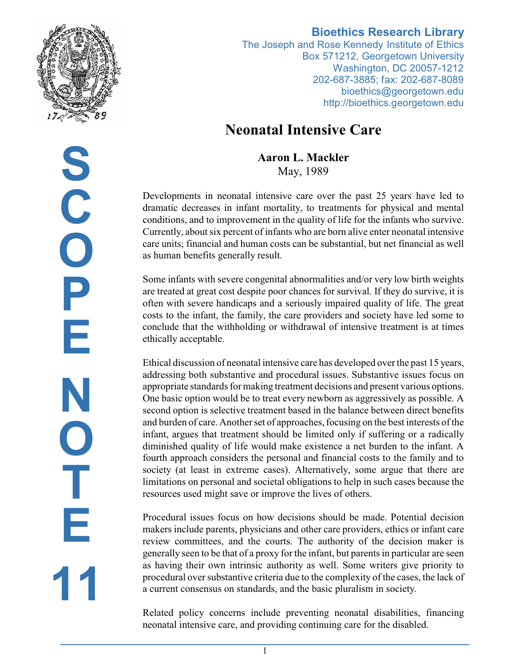

# **S C O P E N O T E 11**

## **Bioethics Research Library**

The Joseph and Rose Kennedy Institute of Ethics Box 571212, Georgetown University Washington, DC 20057-1212 202-687-3885; fax: 202-687-8089 bioethics@georgetown.edu http://bioethics.georgetown.edu

# **Neonatal Intensive Care**

**Aaron L. Mackler** May, 1989

Developments in neonatal intensive care over the past 25 years have led to dramatic decreases in infant mortality, to treatments for physical and mental conditions, and to improvement in the quality of life for the infants who survive. Currently, about six percent of infants who are born alive enter neonatal intensive care units; financial and human costs can be substantial, but net financial as well as human benefits generally result.

Some infants with severe congenital abnormalities and/or very low birth weights are treated at great cost despite poor chances for survival. If they do survive, it is often with severe handicaps and a seriously impaired quality of life. The great costs to the infant, the family, the care providers and society have led some to conclude that the withholding or withdrawal of intensive treatment is at times ethically acceptable.

Ethical discussion of neonatal intensive care has developed over the past 15 years, addressing both substantive and procedural issues. Substantive issues focus on appropriate standards for making treatment decisions and present various options. One basic option would be to treat every newborn as aggressively as possible. A second option is selective treatment based in the balance between direct benefits and burden of care. Another set of approaches, focusing on the best interests of the infant, argues that treatment should be limited only if suffering or a radically diminished quality of life would make existence a net burden to the infant. A fourth approach considers the personal and financial costs to the family and to society (at least in extreme cases). Alternatively, some argue that there are limitations on personal and societal obligations to help in such cases because the resources used might save or improve the lives of others.

Procedural issues focus on how decisions should be made. Potential decision makers include parents, physicians and other care providers, ethics or infant care review committees, and the courts. The authority of the decision maker is generally seen to be that of a proxy for the infant, but parents in particular are seen as having their own intrinsic authority as well. Some writers give priority to procedural over substantive criteria due to the complexity of the cases, the lack of a current consensus on standards, and the basic pluralism in society.

Related policy concerns include preventing neonatal disabilities, financing neonatal intensive care, and providing continuing care for the disabled.

1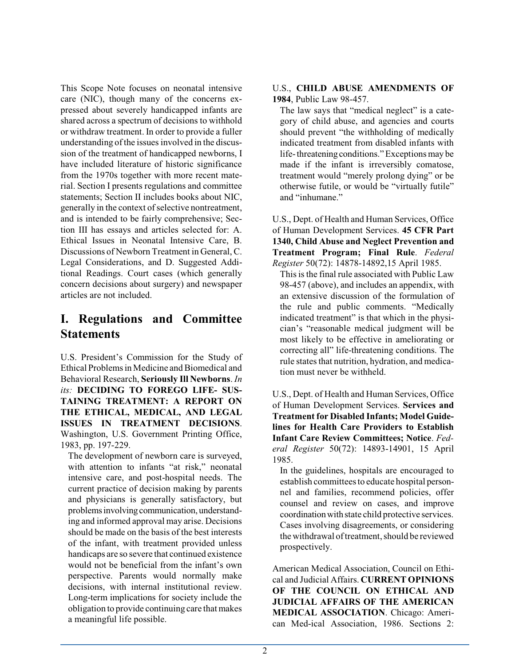This Scope Note focuses on neonatal intensive care (NIC), though many of the concerns expressed about severely handicapped infants are shared across a spectrum of decisions to withhold or withdraw treatment. In order to provide a fuller understanding of the issues involved in the discussion of the treatment of handicapped newborns, I have included literature of historic significance from the 1970s together with more recent material. Section I presents regulations and committee statements; Section II includes books about NIC, generally in the context of selective nontreatment, and is intended to be fairly comprehensive; Section III has essays and articles selected for: A. Ethical Issues in Neonatal Intensive Care, B. Discussions of Newborn Treatment in General, C. Legal Considerations, and D. Suggested Additional Readings. Court cases (which generally concern decisions about surgery) and newspaper articles are not included.

# **I. Regulations and Committee Statements**

U.S. President's Commission for the Study of Ethical Problems in Medicine and Biomedical and Behavioral Research, **Seriously Ill Newborns**. *In its:* **DECIDING TO FOREGO LIFE- SUS-TAINING TREATMENT: A REPORT ON THE ETHICAL, MEDICAL, AND LEGAL ISSUES IN TREATMENT DECISIONS**. Washington, U.S. Government Printing Office, 1983, pp. 197-229.

The development of newborn care is surveyed, with attention to infants "at risk," neonatal intensive care, and post-hospital needs. The current practice of decision making by parents and physicians is generally satisfactory, but problems involving communication, understanding and informed approval may arise. Decisions should be made on the basis of the best interests of the infant, with treatment provided unless handicaps are so severe that continued existence would not be beneficial from the infant's own perspective. Parents would normally make decisions, with internal institutional review. Long-term implications for society include the obligation to provide continuing care thatmakes a meaningful life possible.

#### U.S., **CHILD ABUSE AMENDMENTS OF 1984**, Public Law 98-457.

The law says that "medical neglect" is a category of child abuse, and agencies and courts should prevent "the withholding of medically indicated treatment from disabled infants with life-threatening conditions." Exceptions may be made if the infant is irreversibly comatose, treatment would "merely prolong dying" or be otherwise futile, or would be "virtually futile" and "inhumane."

U.S., Dept. of Health and Human Services, Office of Human Development Services. **45 CFR Part 1340, Child Abuse and Neglect Prevention and Treatment Program; Final Rule**. *Federal Register* 50(72): 14878-14892,15 April 1985.

This is the final rule associated with Public Law 98-457 (above), and includes an appendix, with an extensive discussion of the formulation of the rule and public comments. "Medically indicated treatment" is that which in the physician's "reasonable medical judgment will be most likely to be effective in ameliorating or correcting all" life-threatening conditions. The rule states that nutrition, hydration, and medication must never be withheld.

U.S., Dept. of Health and Human Services, Office of Human Development Services. **Services and Treatment for Disabled Infants; Model Guidelines for Health Care Providers to Establish Infant Care Review Committees; Notice**. *Federal Register* 50(72): 14893-14901, 15 April 1985.

In the guidelines, hospitals are encouraged to establish committees to educate hospital personnel and families, recommend policies, offer counsel and review on cases, and improve coordinationwith state child protective services. Cases involving disagreements, or considering the withdrawal of treatment, should be reviewed prospectively.

American Medical Association, Council on Ethical and Judicial Affairs. **CURRENT OPINIONS OF THE COUNCIL ON ETHICAL AND JUDICIAL AFFAIRS OF THE AMERICAN MEDICAL ASSOCIATION**. Chicago: American Med-ical Association, 1986. Sections 2: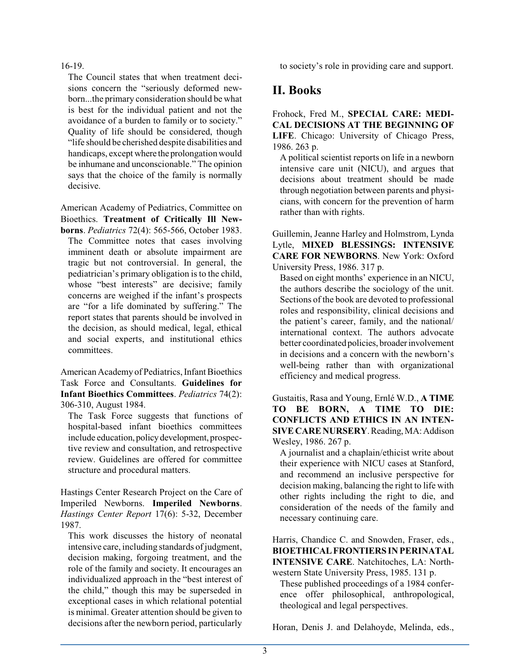#### 16-19.

The Council states that when treatment decisions concern the "seriously deformed newborn...the primary consideration should be what is best for the individual patient and not the avoidance of a burden to family or to society." Quality of life should be considered, though "life should be cherished despite disabilities and handicaps, except where the prolongation would be inhumane and unconscionable." The opinion says that the choice of the family is normally decisive.

American Academy of Pediatrics, Committee on Bioethics. **Treatment of Critically Ill New-**

**borns**. *Pediatrics* 72(4): 565-566, October 1983. The Committee notes that cases involving imminent death or absolute impairment are tragic but not controversial. In general, the pediatrician's primary obligation is to the child, whose "best interests" are decisive; family concerns are weighed if the infant's prospects are "for a life dominated by suffering." The report states that parents should be involved in the decision, as should medical, legal, ethical and social experts, and institutional ethics committees.

American Academy of Pediatrics, Infant Bioethics Task Force and Consultants. **Guidelines for Infant Bioethics Committees**. *Pediatrics* 74(2): 306-310, August 1984.

The Task Force suggests that functions of hospital-based infant bioethics committees include education, policy development, prospective review and consultation, and retrospective review. Guidelines are offered for committee structure and procedural matters.

Hastings Center Research Project on the Care of Imperiled Newborns. **Imperiled Newborns**. *Hastings Center Report* 17(6): 5-32, December 1987.

This work discusses the history of neonatal intensive care, including standards of judgment, decision making, forgoing treatment, and the role of the family and society. It encourages an individualized approach in the "best interest of the child," though this may be superseded in exceptional cases in which relational potential is minimal. Greater attention should be given to decisions after the newborn period, particularly to society's role in providing care and support.

# **II. Books**

Frohock, Fred M., **SPECIAL CARE: MEDI-CAL DECISIONS AT THE BEGINNING OF LIFE**. Chicago: University of Chicago Press, 1986. 263 p.

A political scientist reports on life in a newborn intensive care unit (NICU), and argues that decisions about treatment should be made through negotiation between parents and physicians, with concern for the prevention of harm rather than with rights.

Guillemin, Jeanne Harley and Holmstrom, Lynda Lytle, **MIXED BLESSINGS: INTENSIVE CARE FOR NEWBORNS**. New York: Oxford University Press, 1986. 317 p.

Based on eight months' experience in an NICU, the authors describe the sociology of the unit. Sections of the book are devoted to professional roles and responsibility, clinical decisions and the patient's career, family, and the national/ international context. The authors advocate better coordinated policies, broaderinvolvement in decisions and a concern with the newborn's well-being rather than with organizational efficiency and medical progress.

Gustaitis, Rasa and Young, Ernlé W.D., **A TIME TO BE BORN, A TIME TO DIE: CONFLICTS AND ETHICS IN AN INTEN-SIVE CARE NURSERY**. Reading,MA:Addison Wesley, 1986. 267 p.

A journalist and a chaplain/ethicist write about their experience with NICU cases at Stanford, and recommend an inclusive perspective for decision making, balancing the right to life with other rights including the right to die, and consideration of the needs of the family and necessary continuing care.

Harris, Chandice C. and Snowden, Fraser, eds., **BIOETHICALFRONTIERS IN PERINATAL INTENSIVE CARE**. Natchitoches, LA: Northwestern State University Press, 1985. 131 p.

These published proceedings of a 1984 conference offer philosophical, anthropological, theological and legal perspectives.

Horan, Denis J. and Delahoyde, Melinda, eds.,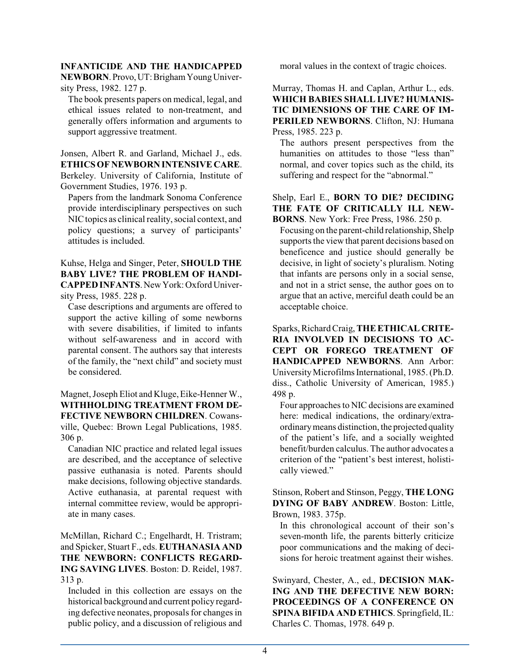#### **INFANTICIDE AND THE HANDICAPPED**

**NEWBORN**.Provo,UT:BrighamYoungUniversity Press, 1982. 127 p.

The book presents papers on medical, legal, and ethical issues related to non-treatment, and generally offers information and arguments to support aggressive treatment.

Jonsen, Albert R. and Garland, Michael J., eds. **ETHICS OF NEWBORN INTENSIVE CARE**. Berkeley. University of California, Institute of Government Studies, 1976. 193 p.

Papers from the landmark Sonoma Conference provide interdisciplinary perspectives on such NIC topics as clinical reality, social context, and policy questions; a survey of participants' attitudes is included.

Kuhse, Helga and Singer, Peter, **SHOULD THE BABY LIVE? THE PROBLEM OF HANDI-CAPPED INFANTS**.New York: Oxford University Press, 1985. 228 p.

Case descriptions and arguments are offered to support the active killing of some newborns with severe disabilities, if limited to infants without self-awareness and in accord with parental consent. The authors say that interests of the family, the "next child" and society must be considered.

Magnet, Joseph Eliot and Kluge, Eike-Henner W., **WITHHOLDING TREATMENT FROM DE-FECTIVE NEWBORN CHILDREN**. Cowansville, Quebec: Brown Legal Publications, 1985. 306 p.

Canadian NIC practice and related legal issues are described, and the acceptance of selective passive euthanasia is noted. Parents should make decisions, following objective standards. Active euthanasia, at parental request with internal committee review, would be appropriate in many cases.

McMillan, Richard C.; Engelhardt, H. Tristram; and Spicker, Stuart F., eds. **EUTHANASIA AND THE NEWBORN: CONFLICTS REGARD-ING SAVING LIVES**. Boston: D. Reidel, 1987. 313 p.

Included in this collection are essays on the historical background and current policy regarding defective neonates, proposals for changes in public policy, and a discussion of religious and moral values in the context of tragic choices.

Murray, Thomas H. and Caplan, Arthur L., eds. **WHICH BABIES SHALL LIVE? HUMANIS-TIC DIMENSIONS OF THE CARE OF IM-PERILED NEWBORNS**. Clifton, NJ: Humana Press, 1985. 223 p.

The authors present perspectives from the humanities on attitudes to those "less than" normal, and cover topics such as the child, its suffering and respect for the "abnormal."

#### Shelp, Earl E., **BORN TO DIE? DECIDING THE FATE OF CRITICALLY ILL NEW-BORNS**. New York: Free Press, 1986. 250 p.

Focusing on the parent-child relationship, Shelp supports the view that parent decisions based on beneficence and justice should generally be decisive, in light of society's pluralism. Noting that infants are persons only in a social sense, and not in a strict sense, the author goes on to argue that an active, merciful death could be an acceptable choice.

Sparks, Richard Craig, THE ETHICAL CRITE-**RIA INVOLVED IN DECISIONS TO AC-CEPT OR FOREGO TREATMENT OF HANDICAPPED NEWBORNS**. Ann Arbor: UniversityMicrofilms International, 1985. (Ph.D. diss., Catholic University of American, 1985.) 498 p.

Four approaches to NIC decisions are examined here: medical indications, the ordinary/extraordinarymeans distinction, the projected quality of the patient's life, and a socially weighted benefit/burden calculus. The author advocates a criterion of the "patient's best interest, holistically viewed."

Stinson, Robert and Stinson, Peggy, **THE LONG DYING OF BABY ANDREW**. Boston: Little, Brown, 1983. 375p.

In this chronological account of their son's seven-month life, the parents bitterly criticize poor communications and the making of decisions for heroic treatment against their wishes.

Swinyard, Chester, A., ed., **DECISION MAK-ING AND THE DEFECTIVE NEW BORN: PROCEEDINGS OF A CONFERENCE ON SPINA BIFIDA AND ETHICS**. Springfield, IL: Charles C. Thomas, 1978. 649 p.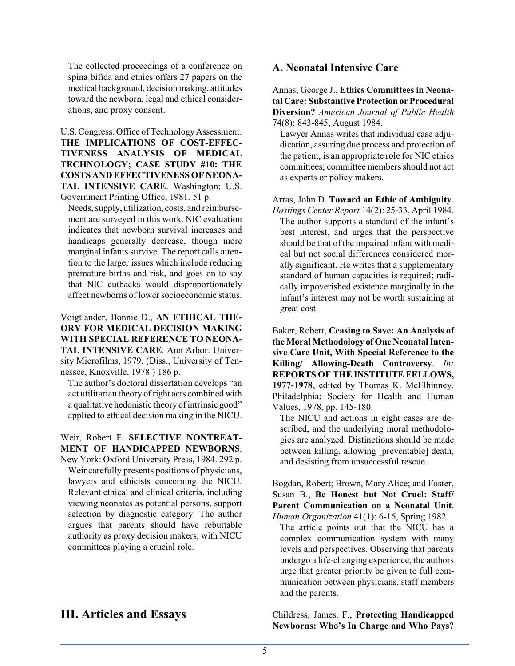The collected proceedings of a conference on spina bifida and ethics offers 27 papers on the medical background, decision making, attitudes toward the newborn, legal and ethical considerations, and proxy consent.

U.S. Congress. Office of Technology Assessment. **THE IMPLICATIONS OF COST-EFFEC-TIVENESS ANALYSIS OF MEDICAL TECHNOLOGY; CASE STUDY #10: THE COSTS AND EFFECTIVENESS OF NEONA-TAL INTENSIVE CARE**. Washington: U.S. Government Printing Office, 1981. 51 p.

Needs, supply, utilization, costs, and reimbursement are surveyed in this work. NIC evaluation indicates that newborn survival increases and handicaps generally decrease, though more marginal infants survive. The report calls attention to the larger issues which include reducing premature births and risk, and goes on to say that NIC cutbacks would disproportionately affect newborns of lower socioeconomic status.

#### Voigtlander, Bonnie D., **AN ETHICAL THE-ORY FOR MEDICAL DECISION MAKING WITH SPECIAL REFERENCE TO NEONA-TAL INTENSIVE CARE**. Ann Arbor: University Microfilms, 1979. (Diss., University of Tennessee, Knoxville, 1978.) 186 p.

The author's doctoral dissertation develops "an act utilitarian theory ofright acts combined with a qualitative hedonistic theory of intrinsic good" applied to ethical decision making in the NICU.

#### Weir, Robert F. **SELECTIVE NONTREAT-MENT OF HANDICAPPED NEWBORNS**.

New York: Oxford University Press, 1984. 292 p. Weir carefully presents positions of physicians, lawyers and ethicists concerning the NICU. Relevant ethical and clinical criteria, including viewing neonates as potential persons, support selection by diagnostic category. The author argues that parents should have rebuttable authority as proxy decision makers, with NICU committees playing a crucial role.

# **III. Articles and Essays**

#### **A. Neonatal Intensive Care**

Annas, George J., **Ethics Committees in Neonatal Care: Substantive Protection or Procedural Diversion?** *American Journal of Public Health* 74(8): 843-845, August 1984.

Lawyer Annas writes that individual case adjudication, assuring due process and protection of the patient, is an appropriate role for NIC ethics committees; committee members should not act as experts or policy makers.

Arras, John D. **Toward an Ethic of Ambiguity**. *Hastings Center Report* 14(2): 25-33, April 1984.

The author supports a standard of the infant's best interest, and urges that the perspective should be that of the impaired infant with medical but not social differences considered morally significant. He writes that a supplementary standard of human capacities is required; radically impoverished existence marginally in the infant's interest may not be worth sustaining at great cost.

Baker, Robert, **Ceasing to Save: An Analysis of the Moral Methodology of One NeonatalIntensive Care Unit, With Special Reference to the Killing/ Allowing-Death Controversy**. *In:* **REPORTS OF THE INSTITUTE FELLOWS, 1977-1978**, edited by Thomas K. McElhinney. Philadelphia: Society for Health and Human Values, 1978, pp. 145-180.

The NICU and actions in eight cases are described, and the underlying moral methodologies are analyzed. Distinctions should be made between killing, allowing [preventable] death, and desisting from unsuccessful rescue.

Bogdan, Robert; Brown, Mary Alice; and Foster, Susan B., **Be Honest but Not Cruel: Staff/ Parent Communication on a Neonatal Unit**. *Human Organization* 41(1): 6-16, Spring 1982.

The article points out that the NICU has a complex communication system with many levels and perspectives. Observing that parents undergo a life-changing experience, the authors urge that greater priority be given to full communication between physicians, staff members and the parents.

Childress, James. F., **Protecting Handicapped Newborns: Who's In Charge and Who Pays?**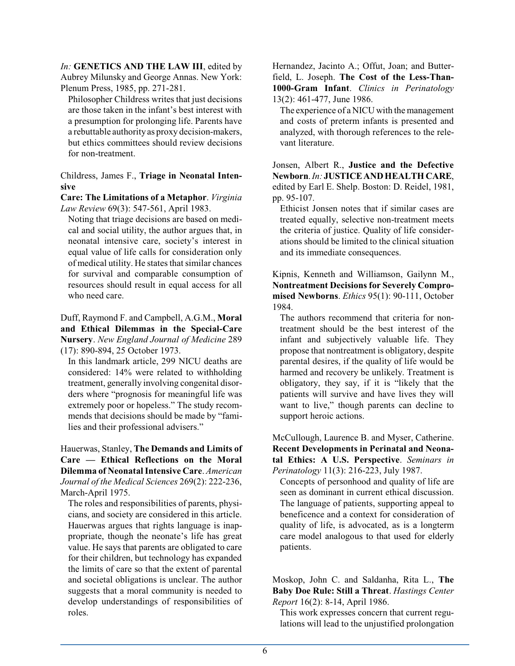*In:* **GENETICS AND THE LAW III**, edited by Aubrey Milunsky and George Annas. New York: Plenum Press, 1985, pp. 271-281.

Philosopher Childress writes that just decisions are those taken in the infant's best interest with a presumption for prolonging life. Parents have a rebuttable authority as proxy decision-makers, but ethics committees should review decisions for non-treatment.

Childress, James F., **Triage in Neonatal Intensive**

**Care: The Limitations of a Metaphor**. *Virginia Law Review* 69(3): 547-561, April 1983.

Noting that triage decisions are based on medical and social utility, the author argues that, in neonatal intensive care, society's interest in equal value of life calls for consideration only of medical utility. He states that similar chances for survival and comparable consumption of resources should result in equal access for all who need care.

Duff, Raymond F. and Campbell, A.G.M., **Moral and Ethical Dilemmas in the Special-Care Nursery**. *New England Journal of Medicine* 289 (17): 890-894, 25 October 1973.

In this landmark article, 299 NICU deaths are considered: 14% were related to withholding treatment, generally involving congenital disorders where "prognosis for meaningful life was extremely poor or hopeless." The study recommends that decisions should be made by "families and their professional advisers."

Hauerwas, Stanley, **The Demands and Limits of Care — Ethical Reflections on the Moral Dilemma of NeonatalIntensive Care**. *American Journal of the Medical Sciences* 269(2): 222-236, March-April 1975.

The roles and responsibilities of parents, physicians, and society are considered in this article. Hauerwas argues that rights language is inappropriate, though the neonate's life has great value. He says that parents are obligated to care for their children, but technology has expanded the limits of care so that the extent of parental and societal obligations is unclear. The author suggests that a moral community is needed to develop understandings of responsibilities of roles.

Hernandez, Jacinto A.; Offut, Joan; and Butterfield, L. Joseph. **The Cost of the Less-Than-1000-Gram Infant**. *Clinics in Perinatology* 13(2): 461-477, June 1986.

The experience of a NICU with the management and costs of preterm infants is presented and analyzed, with thorough references to the relevant literature.

Jonsen, Albert R., **Justice and the Defective Newborn**.*In:* **JUSTICEAND HEALTHCARE**, edited by Earl E. Shelp. Boston: D. Reidel, 1981, pp. 95-107.

Ethicist Jonsen notes that if similar cases are treated equally, selective non-treatment meets the criteria of justice. Quality of life considerations should be limited to the clinical situation and its immediate consequences.

Kipnis, Kenneth and Williamson, Gailynn M., **Nontreatment Decisions for Severely Compromised Newborns**. *Ethics* 95(1): 90-111, October 1984.

The authors recommend that criteria for nontreatment should be the best interest of the infant and subjectively valuable life. They propose that nontreatment is obligatory, despite parental desires, if the quality of life would be harmed and recovery be unlikely. Treatment is obligatory, they say, if it is "likely that the patients will survive and have lives they will want to live," though parents can decline to support heroic actions.

McCullough, Laurence B. and Myser, Catherine. **Recent Developments in Perinatal and Neonatal Ethics: A U.S. Perspective**. *Seminars in Perinatology* 11(3): 216-223, July 1987.

Concepts of personhood and quality of life are seen as dominant in current ethical discussion. The language of patients, supporting appeal to beneficence and a context for consideration of quality of life, is advocated, as is a longterm care model analogous to that used for elderly patients.

Moskop, John C. and Saldanha, Rita L., **The Baby Doe Rule: Still a Threat**. *Hastings Center Report* 16(2): 8-14, April 1986.

This work expresses concern that current regulations will lead to the unjustified prolongation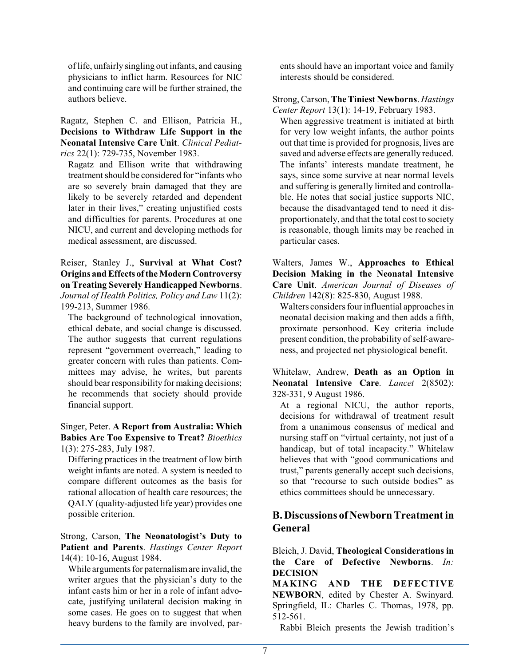of life, unfairly singling out infants, and causing physicians to inflict harm. Resources for NIC and continuing care will be further strained, the authors believe.

Ragatz, Stephen C. and Ellison, Patricia H., **Decisions to Withdraw Life Support in the Neonatal Intensive Care Unit**. *Clinical Pediatrics* 22(1): 729-735, November 1983.

Ragatz and Ellison write that withdrawing treatment should be considered for "infants who are so severely brain damaged that they are likely to be severely retarded and dependent later in their lives," creating unjustified costs and difficulties for parents. Procedures at one NICU, and current and developing methods for medical assessment, are discussed.

Reiser, Stanley J., **Survival at What Cost? Origins and Effects ofthe Modern Controversy on Treating Severely Handicapped Newborns**. *Journal of Health Politics, Policy and Law* 11(2): 199-213, Summer 1986.

The background of technological innovation, ethical debate, and social change is discussed. The author suggests that current regulations represent "government overreach," leading to greater concern with rules than patients. Committees may advise, he writes, but parents should bear responsibility for making decisions; he recommends that society should provide financial support.

Singer, Peter. **A Report from Australia: Which Babies Are Too Expensive to Treat?** *Bioethics* 1(3): 275-283, July 1987.

Differing practices in the treatment of low birth weight infants are noted. A system is needed to compare different outcomes as the basis for rational allocation of health care resources; the QALY (quality-adjusted life year) provides one possible criterion.

Strong, Carson, **The Neonatologist's Duty to Patient and Parents**. *Hastings Center Report* 14(4): 10-16, August 1984.

While arguments for paternalismare invalid, the writer argues that the physician's duty to the infant casts him or her in a role of infant advocate, justifying unilateral decision making in some cases. He goes on to suggest that when heavy burdens to the family are involved, parents should have an important voice and family interests should be considered.

Strong, Carson, **The Tiniest Newborns**. *Hastings Center Report* 13(1): 14-19, February 1983.

When aggressive treatment is initiated at birth for very low weight infants, the author points out that time is provided for prognosis, lives are saved and adverse effects are generally reduced. The infants' interests mandate treatment, he says, since some survive at near normal levels and suffering is generally limited and controllable. He notes that social justice supports NIC, because the disadvantaged tend to need it disproportionately, and that the total cost to society is reasonable, though limits may be reached in particular cases.

Walters, James W., **Approaches to Ethical Decision Making in the Neonatal Intensive Care Unit**. *American Journal of Diseases of Children* 142(8): 825-830, August 1988.

Walters considers four influential approaches in neonatal decision making and then adds a fifth, proximate personhood. Key criteria include present condition, the probability of self-awareness, and projected net physiological benefit.

Whitelaw, Andrew, **Death as an Option in Neonatal Intensive Care**. *Lancet* 2(8502): 328-331, 9 August 1986.

At a regional NICU, the author reports, decisions for withdrawal of treatment result from a unanimous consensus of medical and nursing staff on "virtual certainty, not just of a handicap, but of total incapacity." Whitelaw believes that with "good communications and trust," parents generally accept such decisions, so that "recourse to such outside bodies" as ethics committees should be unnecessary.

## **B. Discussions ofNewborn Treatment in General**

Bleich, J. David, **Theological Considerations in the Care of Defective Newborns**. *In:* **DECISION**

**MAKING AND THE DEFECTIVE NEWBORN**, edited by Chester A. Swinyard. Springfield, IL: Charles C. Thomas, 1978, pp. 512-561.

Rabbi Bleich presents the Jewish tradition's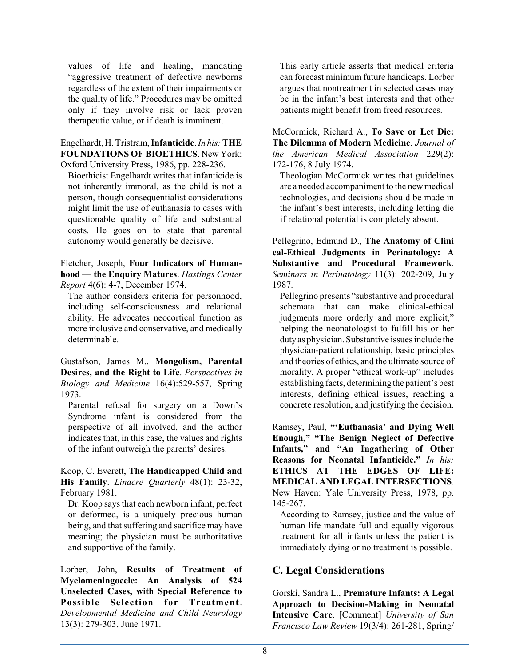values of life and healing, mandating "aggressive treatment of defective newborns regardless of the extent of their impairments or the quality of life." Procedures may be omitted only if they involve risk or lack proven therapeutic value, or if death is imminent.

#### Engelhardt, H. Tristram, **Infanticide**. *In his:***THE FOUNDATIONS OF BIOETHICS**. New York: Oxford University Press, 1986, pp. 228-236.

Bioethicist Engelhardt writes that infanticide is not inherently immoral, as the child is not a person, though consequentialist considerations might limit the use of euthanasia to cases with questionable quality of life and substantial costs. He goes on to state that parental autonomy would generally be decisive.

Fletcher, Joseph, **Four Indicators of Humanhood — the Enquiry Matures**. *Hastings Center Report* 4(6): 4-7, December 1974.

The author considers criteria for personhood, including self-consciousness and relational ability. He advocates neocortical function as more inclusive and conservative, and medically determinable.

Gustafson, James M., **Mongolism, Parental Desires, and the Right to Life**. *Perspectives in Biology and Medicine* 16(4):529-557, Spring 1973.

Parental refusal for surgery on a Down's Syndrome infant is considered from the perspective of all involved, and the author indicates that, in this case, the values and rights of the infant outweigh the parents' desires.

Koop, C. Everett, **The Handicapped Child and His Family**. *Linacre Quarterly* 48(1): 23-32, February 1981.

Dr. Koop says that each newborn infant, perfect or deformed, is a uniquely precious human being, and that suffering and sacrifice may have meaning; the physician must be authoritative and supportive of the family.

Lorber, John, **Results of Treatment of Myelomeningocele: An Analysis of 524 Unselected Cases, with Special Reference to Possible Selection for Treatment**. *Developmental Medicine and Child Neurology* 13(3): 279-303, June 1971.

This early article asserts that medical criteria can forecast minimum future handicaps. Lorber argues that nontreatment in selected cases may be in the infant's best interests and that other patients might benefit from freed resources.

McCormick, Richard A., **To Save or Let Die: The Dilemma of Modern Medicine**. *Journal of the American Medical Association* 229(2): 172-176, 8 July 1974.

Theologian McCormick writes that guidelines are a needed accompaniment to the new medical technologies, and decisions should be made in the infant's best interests, including letting die if relational potential is completely absent.

Pellegrino, Edmund D., **The Anatomy of Clini cal-Ethical Judgments in Perinatology: A Substantive and Procedural Framework**. *Seminars in Perinatology* 11(3): 202-209, July 1987.

Pellegrino presents "substantive and procedural schemata that can make clinical-ethical judgments more orderly and more explicit," helping the neonatologist to fulfill his or her duty as physician. Substantive issues include the physician-patient relationship, basic principles and theories of ethics, and the ultimate source of morality. A proper "ethical work-up" includes establishing facts, determining the patient's best interests, defining ethical issues, reaching a concrete resolution, and justifying the decision.

Ramsey, Paul, **"'Euthanasia' and Dying Well Enough," "The Benign Neglect of Defective Infants," and "An Ingathering of Other Reasons for Neonatal Infanticide."** *In his:* **ETHICS AT THE EDGES OF LIFE: MEDICAL AND LEGAL INTERSECTIONS**. New Haven: Yale University Press, 1978, pp. 145-267.

According to Ramsey, justice and the value of human life mandate full and equally vigorous treatment for all infants unless the patient is immediately dying or no treatment is possible.

### **C. Legal Considerations**

Gorski, Sandra L., **Premature Infants: A Legal Approach to Decision-Making in Neonatal Intensive Care**. [Comment] *University of San Francisco Law Review* 19(3/4): 261-281, Spring/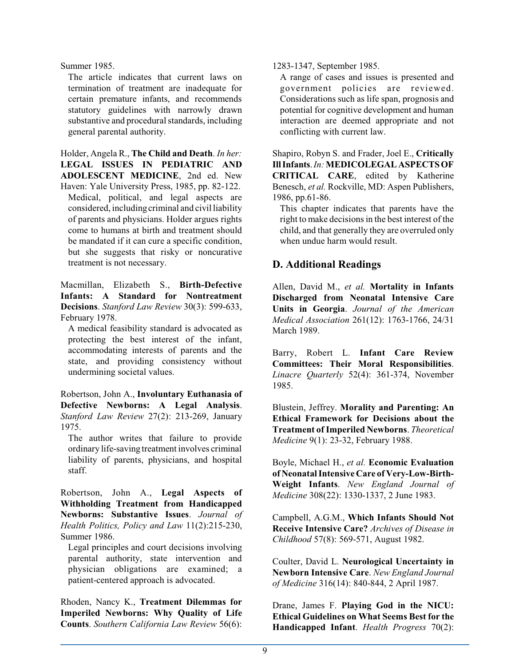Summer 1985.

The article indicates that current laws on termination of treatment are inadequate for certain premature infants, and recommends statutory guidelines with narrowly drawn substantive and procedural standards, including general parental authority.

Holder, Angela R., **The Child and Death**. *In her:* **LEGAL ISSUES IN PEDIATRIC AND ADOLESCENT MEDICINE**, 2nd ed. New

Haven: Yale University Press, 1985, pp. 82-122. Medical, political, and legal aspects are considered, includingcriminal and civil liability of parents and physicians. Holder argues rights come to humans at birth and treatment should be mandated if it can cure a specific condition, but she suggests that risky or noncurative treatment is not necessary.

Macmillan, Elizabeth S., **Birth-Defective Infants: A Standard for Nontreatment Decisions**. *Stanford Law Review* 30(3): 599-633, February 1978.

A medical feasibility standard is advocated as protecting the best interest of the infant, accommodating interests of parents and the state, and providing consistency without undermining societal values.

Robertson, John A., **Involuntary Euthanasia of Defective Newborns: A Legal Analysis**. *Stanford Law Review* 27(2): 213-269, January 1975.

The author writes that failure to provide ordinary life-saving treatment involves criminal liability of parents, physicians, and hospital staff.

Robertson, John A., **Legal Aspects of Withholding Treatment from Handicapped Newborns: Substantive Issues**. *Journal of Health Politics, Policy and Law* 11(2):215-230, Summer 1986.

Legal principles and court decisions involving parental authority, state intervention and physician obligations are examined; a patient-centered approach is advocated.

Rhoden, Nancy K., **Treatment Dilemmas for Imperiled Newborns: Why Quality of Life Counts**. *Southern California Law Review* 56(6):

#### 1283-1347, September 1985.

A range of cases and issues is presented and government policies are reviewed. Considerations such as life span, prognosis and potential for cognitive development and human interaction are deemed appropriate and not conflicting with current law.

Shapiro, Robyn S. and Frader, Joel E., **Critically IllInfants**.*In:***MEDICOLEGAL ASPECTSOF CRITICAL CARE**, edited by Katherine Benesch, *et al.* Rockville, MD: Aspen Publishers, 1986, pp.61-86.

This chapter indicates that parents have the right to make decisions in the best interest of the child, and that generally they are overruled only when undue harm would result.

## **D. Additional Readings**

Allen, David M., *et al.* **Mortality in Infants Discharged from Neonatal Intensive Care Units in Georgia**. *Journal of the American Medical Association* 261(12): 1763-1766, 24/31 March 1989.

Barry, Robert L. **Infant Care Review Committees: Their Moral Responsibilities**. *Linacre Quarterly* 52(4): 361-374, November 1985.

Blustein, Jeffrey. **Morality and Parenting: An Ethical Framework for Decisions about the Treatment ofImperiled Newborns**. *Theoretical Medicine* 9(1): 23-32, February 1988.

Boyle, Michael H., *et al.* **Economic Evaluation of NeonatalIntensive Care of Very-Low-Birth-Weight Infants**. *New England Journal of Medicine* 308(22): 1330-1337, 2 June 1983.

Campbell, A.G.M., **Which Infants Should Not Receive Intensive Care?** *Archives of Disease in Childhood* 57(8): 569-571, August 1982.

Coulter, David L. **Neurological Uncertainty in Newborn Intensive Care**. *New England Journal of Medicine* 316(14): 840-844, 2 April 1987.

Drane, James F. **Playing God in the NICU: Ethical Guidelines on What Seems Best for the Handicapped Infant**. *Health Progress* 70(2):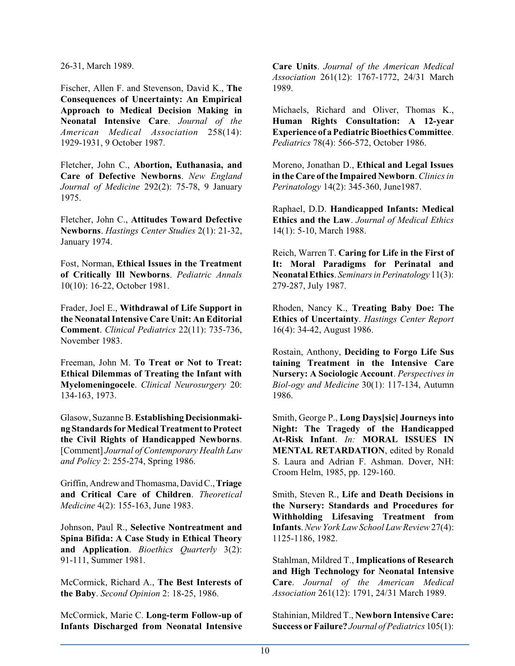26-31, March 1989.

Fischer, Allen F. and Stevenson, David K., **The Consequences of Uncertainty: An Empirical Approach to Medical Decision Making in Neonatal Intensive Care**. *Journal of the American Medical Association* 258(14): 1929-1931, 9 October 1987.

Fletcher, John C., **Abortion, Euthanasia, and Care of Defective Newborns**. *New England Journal of Medicine* 292(2): 75-78, 9 January 1975.

Fletcher, John C., **Attitudes Toward Defective Newborns**. *Hastings Center Studies* 2(1): 21-32, January 1974.

Fost, Norman, **Ethical Issues in the Treatment of Critically Ill Newborns**. *Pediatric Annals* 10(10): 16-22, October 1981.

Frader, Joel E., **Withdrawal of Life Support in the NeonatalIntensive Care Unit: An Editorial Comment**. *Clinical Pediatrics* 22(11): 735-736, November 1983.

Freeman, John M. **To Treat or Not to Treat: Ethical Dilemmas of Treating the Infant with Myelomeningocele**. *Clinical Neurosurgery* 20: 134-163, 1973.

Glasow, Suzanne B. **Establishing Decisionmaking Standards for Medical Treatment to Protect the Civil Rights of Handicapped Newborns**. [Comment] *Journal of Contemporary Health Law and Policy* 2: 255-274, Spring 1986.

Griffin, Andrew and Thomasma, David C.,**Triage and Critical Care of Children**. *Theoretical Medicine* 4(2): 155-163, June 1983.

Johnson, Paul R., **Selective Nontreatment and Spina Bifida: A Case Study in Ethical Theory and Application**. *Bioethics Quarterly* 3(2): 91-111, Summer 1981.

McCormick, Richard A., **The Best Interests of the Baby**. *Second Opinion* 2: 18-25, 1986.

McCormick, Marie C. **Long-term Follow-up of Infants Discharged from Neonatal Intensive**

**Care Units**. *Journal of the American Medical Association* 261(12): 1767-1772, 24/31 March 1989.

Michaels, Richard and Oliver, Thomas K., **Human Rights Consultation: A 12-year Experience of a Pediatric Bioethics Committee**. *Pediatrics* 78(4): 566-572, October 1986.

Moreno, Jonathan D., **Ethical and Legal Issues in the Care of the Impaired Newborn**.*Clinics in Perinatology* 14(2): 345-360, June1987.

Raphael, D.D. **Handicapped Infants: Medical Ethics and the Law**. *Journal of Medical Ethics* 14(1): 5-10, March 1988.

Reich, Warren T. **Caring for Life in the First of It: Moral Paradigms for Perinatal and NeonatalEthics**. *Seminars in Perinatology* 11(3): 279-287, July 1987.

Rhoden, Nancy K., **Treating Baby Doe: The Ethics of Uncertainty**. *Hastings Center Report* 16(4): 34-42, August 1986.

Rostain, Anthony, **Deciding to Forgo Life Sus taining Treatment in the Intensive Care Nursery: A Sociologic Account**. *Perspectives in Biol-ogy and Medicine* 30(1): 117-134, Autumn 1986.

Smith, George P., **Long Days[sic] Journeys into Night: The Tragedy of the Handicapped At-Risk Infant**. *In:* **MORAL ISSUES IN MENTAL RETARDATION**, edited by Ronald S. Laura and Adrian F. Ashman. Dover, NH: Croom Helm, 1985, pp. 129-160.

Smith, Steven R., **Life and Death Decisions in the Nursery: Standards and Procedures for Withholding Lifesaving Treatment from Infants**. *New York Law School Law Review*27(4): 1125-1186, 1982.

Stahlman, Mildred T., **Implications of Research and High Technology for Neonatal Intensive Care**. *Journal of the American Medical Association* 261(12): 1791, 24/31 March 1989.

Stahinian, Mildred T., **Newborn Intensive Care: Success or Failure?** *Journal ofPediatrics* 105(1):